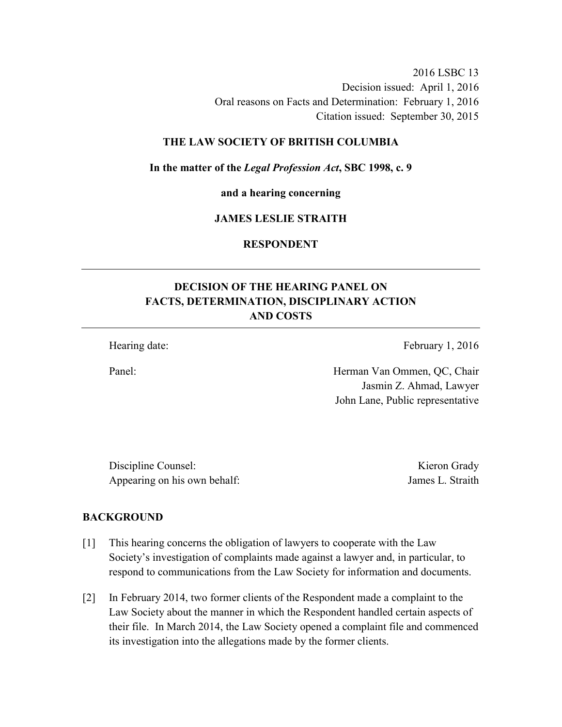2016 LSBC 13 Decision issued: April 1, 2016 Oral reasons on Facts and Determination: February 1, 2016 Citation issued: September 30, 2015

### **THE LAW SOCIETY OF BRITISH COLUMBIA**

#### **In the matter of the** *Legal Profession Act***, SBC 1998, c. 9**

**and a hearing concerning** 

#### **JAMES LESLIE STRAITH**

**RESPONDENT** 

# **DECISION OF THE HEARING PANEL ON FACTS, DETERMINATION, DISCIPLINARY ACTION AND COSTS**

Hearing date: February 1, 2016

Panel: Herman Van Ommen, QC, Chair Jasmin Z. Ahmad, Lawyer John Lane, Public representative

Discipline Counsel: Kieron Grady Appearing on his own behalf: James L. Straith

#### **BACKGROUND**

- [1] This hearing concerns the obligation of lawyers to cooperate with the Law Society's investigation of complaints made against a lawyer and, in particular, to respond to communications from the Law Society for information and documents.
- [2] In February 2014, two former clients of the Respondent made a complaint to the Law Society about the manner in which the Respondent handled certain aspects of their file. In March 2014, the Law Society opened a complaint file and commenced its investigation into the allegations made by the former clients.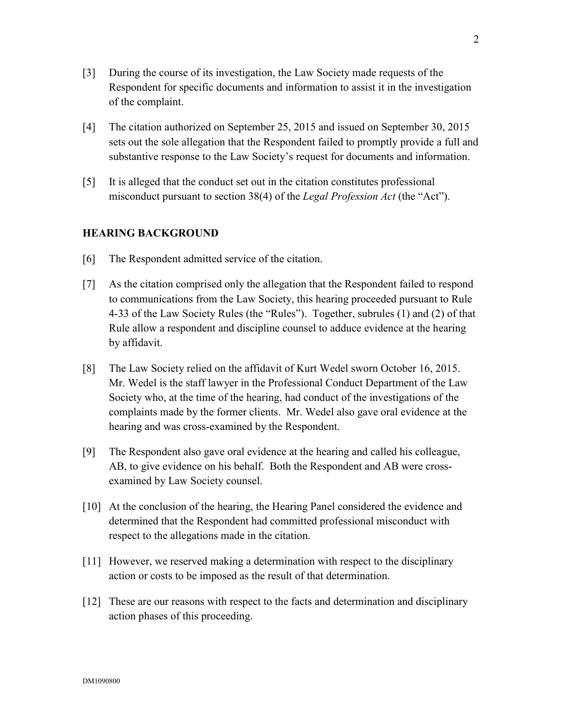- [3] During the course of its investigation, the Law Society made requests of the Respondent for specific documents and information to assist it in the investigation of the complaint.
- [4] The citation authorized on September 25, 2015 and issued on September 30, 2015 sets out the sole allegation that the Respondent failed to promptly provide a full and substantive response to the Law Society's request for documents and information.
- [5] It is alleged that the conduct set out in the citation constitutes professional misconduct pursuant to section 38(4) of the *Legal Profession Act* (the "Act").

### **HEARING BACKGROUND**

- [6] The Respondent admitted service of the citation.
- [7] As the citation comprised only the allegation that the Respondent failed to respond to communications from the Law Society, this hearing proceeded pursuant to Rule 4-33 of the Law Society Rules (the "Rules"). Together, subrules (1) and (2) of that Rule allow a respondent and discipline counsel to adduce evidence at the hearing by affidavit.
- [8] The Law Society relied on the affidavit of Kurt Wedel sworn October 16, 2015. Mr. Wedel is the staff lawyer in the Professional Conduct Department of the Law Society who, at the time of the hearing, had conduct of the investigations of the complaints made by the former clients. Mr. Wedel also gave oral evidence at the hearing and was cross-examined by the Respondent.
- [9] The Respondent also gave oral evidence at the hearing and called his colleague, AB, to give evidence on his behalf. Both the Respondent and AB were crossexamined by Law Society counsel.
- [10] At the conclusion of the hearing, the Hearing Panel considered the evidence and determined that the Respondent had committed professional misconduct with respect to the allegations made in the citation.
- [11] However, we reserved making a determination with respect to the disciplinary action or costs to be imposed as the result of that determination.
- [12] These are our reasons with respect to the facts and determination and disciplinary action phases of this proceeding.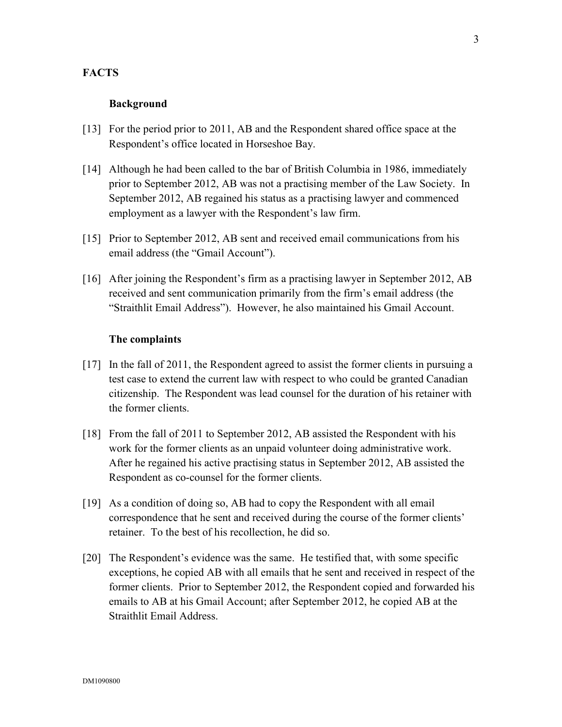### **FACTS**

#### **Background**

- [13] For the period prior to 2011, AB and the Respondent shared office space at the Respondent's office located in Horseshoe Bay.
- [14] Although he had been called to the bar of British Columbia in 1986, immediately prior to September 2012, AB was not a practising member of the Law Society. In September 2012, AB regained his status as a practising lawyer and commenced employment as a lawyer with the Respondent's law firm.
- [15] Prior to September 2012, AB sent and received email communications from his email address (the "Gmail Account").
- [16] After joining the Respondent's firm as a practising lawyer in September 2012, AB received and sent communication primarily from the firm's email address (the "Straithlit Email Address"). However, he also maintained his Gmail Account.

#### **The complaints**

- [17] In the fall of 2011, the Respondent agreed to assist the former clients in pursuing a test case to extend the current law with respect to who could be granted Canadian citizenship. The Respondent was lead counsel for the duration of his retainer with the former clients.
- [18] From the fall of 2011 to September 2012, AB assisted the Respondent with his work for the former clients as an unpaid volunteer doing administrative work. After he regained his active practising status in September 2012, AB assisted the Respondent as co-counsel for the former clients.
- [19] As a condition of doing so, AB had to copy the Respondent with all email correspondence that he sent and received during the course of the former clients' retainer. To the best of his recollection, he did so.
- [20] The Respondent's evidence was the same. He testified that, with some specific exceptions, he copied AB with all emails that he sent and received in respect of the former clients. Prior to September 2012, the Respondent copied and forwarded his emails to AB at his Gmail Account; after September 2012, he copied AB at the Straithlit Email Address.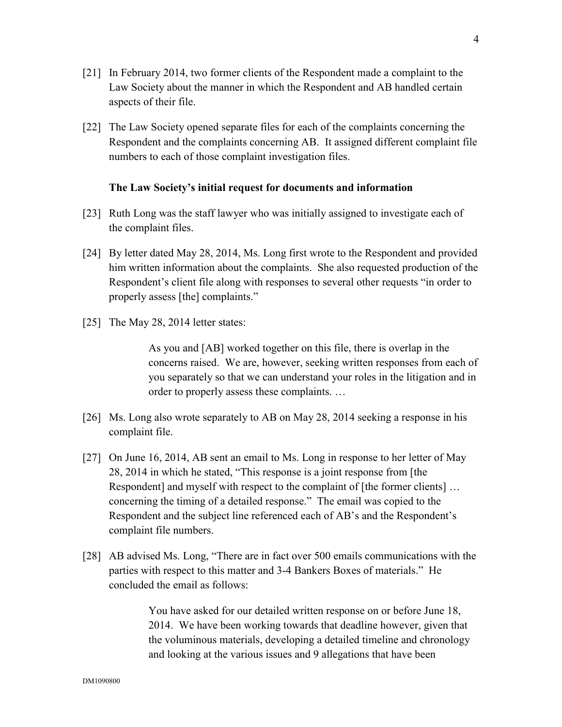- [21] In February 2014, two former clients of the Respondent made a complaint to the Law Society about the manner in which the Respondent and AB handled certain aspects of their file.
- [22] The Law Society opened separate files for each of the complaints concerning the Respondent and the complaints concerning AB. It assigned different complaint file numbers to each of those complaint investigation files.

#### **The Law Society's initial request for documents and information**

- [23] Ruth Long was the staff lawyer who was initially assigned to investigate each of the complaint files.
- [24] By letter dated May 28, 2014, Ms. Long first wrote to the Respondent and provided him written information about the complaints. She also requested production of the Respondent's client file along with responses to several other requests "in order to properly assess [the] complaints."
- [25] The May 28, 2014 letter states:

As you and [AB] worked together on this file, there is overlap in the concerns raised. We are, however, seeking written responses from each of you separately so that we can understand your roles in the litigation and in order to properly assess these complaints. …

- [26] Ms. Long also wrote separately to AB on May 28, 2014 seeking a response in his complaint file.
- [27] On June 16, 2014, AB sent an email to Ms. Long in response to her letter of May 28, 2014 in which he stated, "This response is a joint response from [the Respondent] and myself with respect to the complaint of [the former clients] ... concerning the timing of a detailed response." The email was copied to the Respondent and the subject line referenced each of AB's and the Respondent's complaint file numbers.
- [28] AB advised Ms. Long, "There are in fact over 500 emails communications with the parties with respect to this matter and 3-4 Bankers Boxes of materials." He concluded the email as follows:

You have asked for our detailed written response on or before June 18, 2014. We have been working towards that deadline however, given that the voluminous materials, developing a detailed timeline and chronology and looking at the various issues and 9 allegations that have been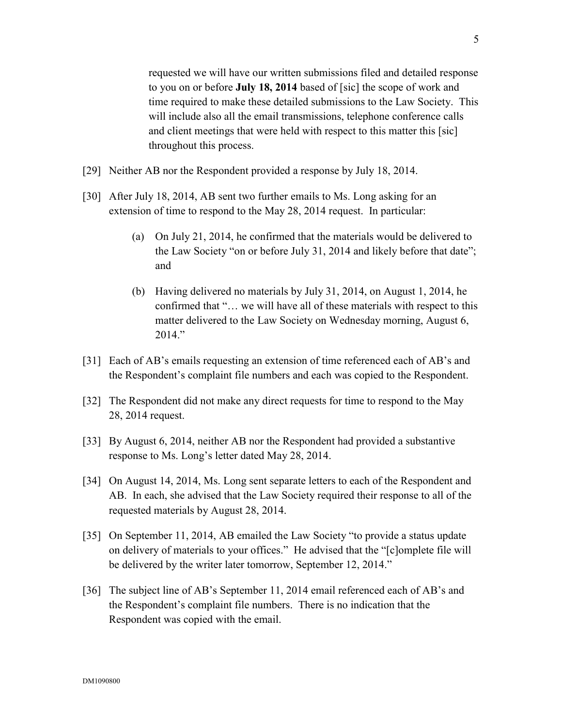5

requested we will have our written submissions filed and detailed response to you on or before **July 18, 2014** based of [sic] the scope of work and time required to make these detailed submissions to the Law Society. This will include also all the email transmissions, telephone conference calls and client meetings that were held with respect to this matter this [sic] throughout this process.

- [29] Neither AB nor the Respondent provided a response by July 18, 2014.
- [30] After July 18, 2014, AB sent two further emails to Ms. Long asking for an extension of time to respond to the May 28, 2014 request. In particular:
	- (a) On July 21, 2014, he confirmed that the materials would be delivered to the Law Society "on or before July 31, 2014 and likely before that date"; and
	- (b) Having delivered no materials by July 31, 2014, on August 1, 2014, he confirmed that "… we will have all of these materials with respect to this matter delivered to the Law Society on Wednesday morning, August 6, 2014."
- [31] Each of AB's emails requesting an extension of time referenced each of AB's and the Respondent's complaint file numbers and each was copied to the Respondent.
- [32] The Respondent did not make any direct requests for time to respond to the May 28, 2014 request.
- [33] By August 6, 2014, neither AB nor the Respondent had provided a substantive response to Ms. Long's letter dated May 28, 2014.
- [34] On August 14, 2014, Ms. Long sent separate letters to each of the Respondent and AB. In each, she advised that the Law Society required their response to all of the requested materials by August 28, 2014.
- [35] On September 11, 2014, AB emailed the Law Society "to provide a status update on delivery of materials to your offices." He advised that the "[c]omplete file will be delivered by the writer later tomorrow, September 12, 2014."
- [36] The subject line of AB's September 11, 2014 email referenced each of AB's and the Respondent's complaint file numbers. There is no indication that the Respondent was copied with the email.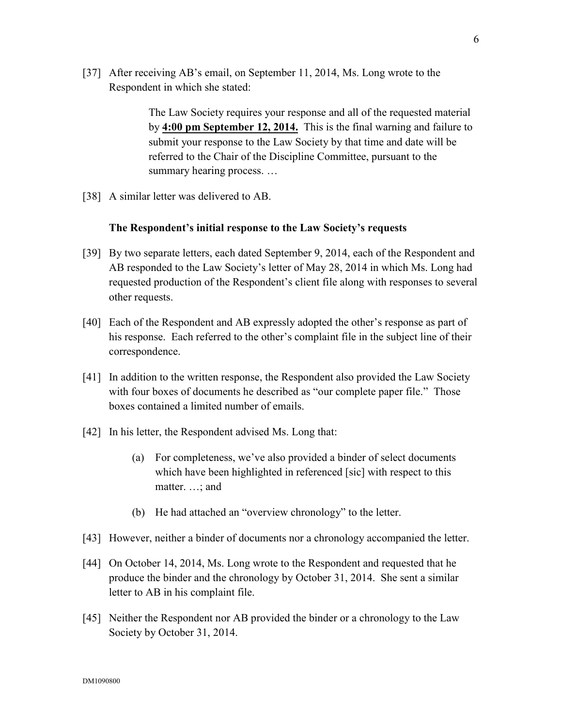[37] After receiving AB's email, on September 11, 2014, Ms. Long wrote to the Respondent in which she stated:

> The Law Society requires your response and all of the requested material by **4:00 pm September 12, 2014.** This is the final warning and failure to submit your response to the Law Society by that time and date will be referred to the Chair of the Discipline Committee, pursuant to the summary hearing process. …

[38] A similar letter was delivered to AB.

#### **The Respondent's initial response to the Law Society's requests**

- [39] By two separate letters, each dated September 9, 2014, each of the Respondent and AB responded to the Law Society's letter of May 28, 2014 in which Ms. Long had requested production of the Respondent's client file along with responses to several other requests.
- [40] Each of the Respondent and AB expressly adopted the other's response as part of his response. Each referred to the other's complaint file in the subject line of their correspondence.
- [41] In addition to the written response, the Respondent also provided the Law Society with four boxes of documents he described as "our complete paper file." Those boxes contained a limited number of emails.
- [42] In his letter, the Respondent advised Ms. Long that:
	- (a) For completeness, we've also provided a binder of select documents which have been highlighted in referenced [sic] with respect to this matter. …; and
	- (b) He had attached an "overview chronology" to the letter.
- [43] However, neither a binder of documents nor a chronology accompanied the letter.
- [44] On October 14, 2014, Ms. Long wrote to the Respondent and requested that he produce the binder and the chronology by October 31, 2014. She sent a similar letter to AB in his complaint file.
- [45] Neither the Respondent nor AB provided the binder or a chronology to the Law Society by October 31, 2014.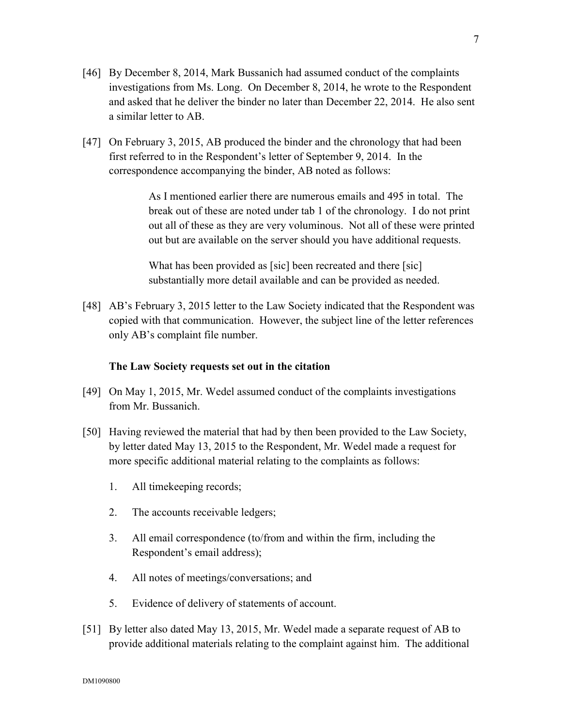- [46] By December 8, 2014, Mark Bussanich had assumed conduct of the complaints investigations from Ms. Long. On December 8, 2014, he wrote to the Respondent and asked that he deliver the binder no later than December 22, 2014. He also sent a similar letter to AB.
- [47] On February 3, 2015, AB produced the binder and the chronology that had been first referred to in the Respondent's letter of September 9, 2014. In the correspondence accompanying the binder, AB noted as follows:

As I mentioned earlier there are numerous emails and 495 in total. The break out of these are noted under tab 1 of the chronology. I do not print out all of these as they are very voluminous. Not all of these were printed out but are available on the server should you have additional requests.

What has been provided as [sic] been recreated and there [sic] substantially more detail available and can be provided as needed.

[48] AB's February 3, 2015 letter to the Law Society indicated that the Respondent was copied with that communication. However, the subject line of the letter references only AB's complaint file number.

### **The Law Society requests set out in the citation**

- [49] On May 1, 2015, Mr. Wedel assumed conduct of the complaints investigations from Mr. Bussanich.
- [50] Having reviewed the material that had by then been provided to the Law Society, by letter dated May 13, 2015 to the Respondent, Mr. Wedel made a request for more specific additional material relating to the complaints as follows:
	- 1. All timekeeping records;
	- 2. The accounts receivable ledgers;
	- 3. All email correspondence (to/from and within the firm, including the Respondent's email address);
	- 4. All notes of meetings/conversations; and
	- 5. Evidence of delivery of statements of account.
- [51] By letter also dated May 13, 2015, Mr. Wedel made a separate request of AB to provide additional materials relating to the complaint against him. The additional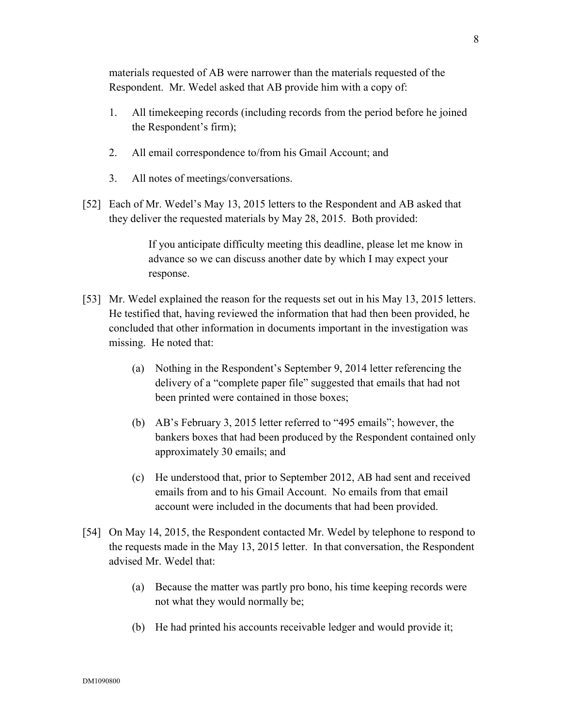materials requested of AB were narrower than the materials requested of the Respondent. Mr. Wedel asked that AB provide him with a copy of:

- 1. All timekeeping records (including records from the period before he joined the Respondent's firm);
- 2. All email correspondence to/from his Gmail Account; and
- 3. All notes of meetings/conversations.
- [52] Each of Mr. Wedel's May 13, 2015 letters to the Respondent and AB asked that they deliver the requested materials by May 28, 2015. Both provided:

If you anticipate difficulty meeting this deadline, please let me know in advance so we can discuss another date by which I may expect your response.

- [53] Mr. Wedel explained the reason for the requests set out in his May 13, 2015 letters. He testified that, having reviewed the information that had then been provided, he concluded that other information in documents important in the investigation was missing. He noted that:
	- (a) Nothing in the Respondent's September 9, 2014 letter referencing the delivery of a "complete paper file" suggested that emails that had not been printed were contained in those boxes;
	- (b) AB's February 3, 2015 letter referred to "495 emails"; however, the bankers boxes that had been produced by the Respondent contained only approximately 30 emails; and
	- (c) He understood that, prior to September 2012, AB had sent and received emails from and to his Gmail Account. No emails from that email account were included in the documents that had been provided.
- [54] On May 14, 2015, the Respondent contacted Mr. Wedel by telephone to respond to the requests made in the May 13, 2015 letter. In that conversation, the Respondent advised Mr. Wedel that:
	- (a) Because the matter was partly pro bono, his time keeping records were not what they would normally be;
	- (b) He had printed his accounts receivable ledger and would provide it;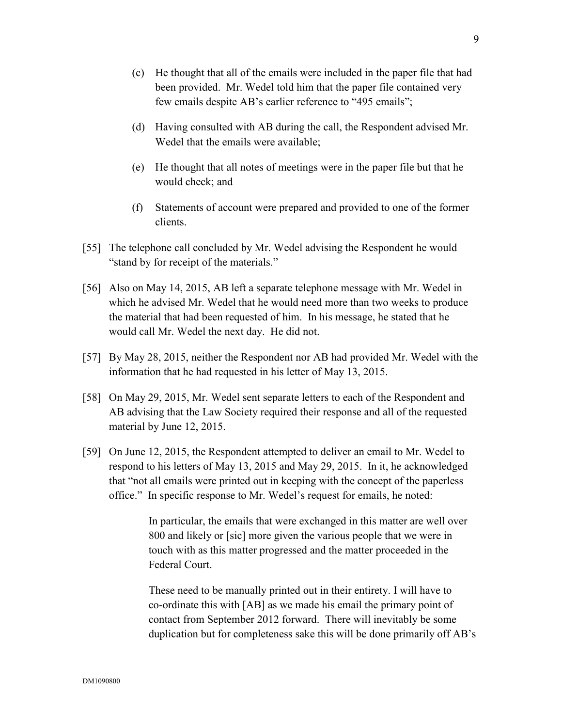- (c) He thought that all of the emails were included in the paper file that had been provided. Mr. Wedel told him that the paper file contained very few emails despite AB's earlier reference to "495 emails";
- (d) Having consulted with AB during the call, the Respondent advised Mr. Wedel that the emails were available;
- (e) He thought that all notes of meetings were in the paper file but that he would check; and
- (f) Statements of account were prepared and provided to one of the former clients.
- [55] The telephone call concluded by Mr. Wedel advising the Respondent he would "stand by for receipt of the materials."
- [56] Also on May 14, 2015, AB left a separate telephone message with Mr. Wedel in which he advised Mr. Wedel that he would need more than two weeks to produce the material that had been requested of him. In his message, he stated that he would call Mr. Wedel the next day. He did not.
- [57] By May 28, 2015, neither the Respondent nor AB had provided Mr. Wedel with the information that he had requested in his letter of May 13, 2015.
- [58] On May 29, 2015, Mr. Wedel sent separate letters to each of the Respondent and AB advising that the Law Society required their response and all of the requested material by June 12, 2015.
- [59] On June 12, 2015, the Respondent attempted to deliver an email to Mr. Wedel to respond to his letters of May 13, 2015 and May 29, 2015. In it, he acknowledged that "not all emails were printed out in keeping with the concept of the paperless office." In specific response to Mr. Wedel's request for emails, he noted:

In particular, the emails that were exchanged in this matter are well over 800 and likely or [sic] more given the various people that we were in touch with as this matter progressed and the matter proceeded in the Federal Court.

These need to be manually printed out in their entirety. I will have to co-ordinate this with [AB] as we made his email the primary point of contact from September 2012 forward. There will inevitably be some duplication but for completeness sake this will be done primarily off AB's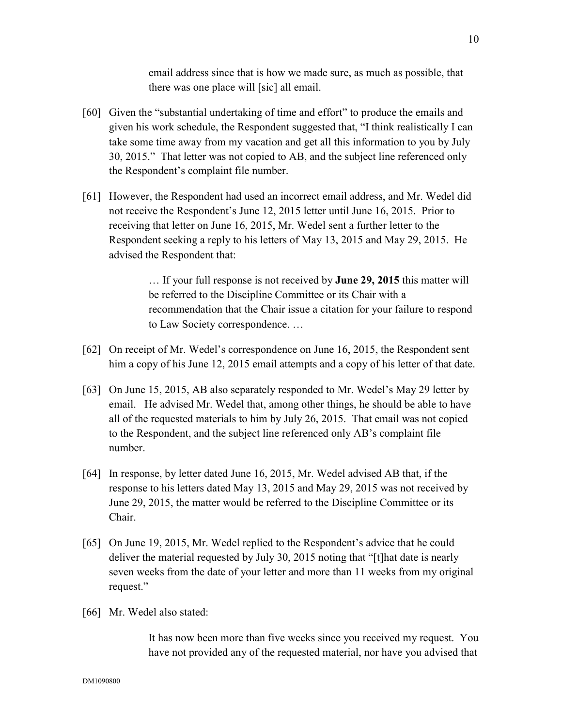email address since that is how we made sure, as much as possible, that there was one place will [sic] all email.

- [60] Given the "substantial undertaking of time and effort" to produce the emails and given his work schedule, the Respondent suggested that, "I think realistically I can take some time away from my vacation and get all this information to you by July 30, 2015." That letter was not copied to AB, and the subject line referenced only the Respondent's complaint file number.
- [61] However, the Respondent had used an incorrect email address, and Mr. Wedel did not receive the Respondent's June 12, 2015 letter until June 16, 2015. Prior to receiving that letter on June 16, 2015, Mr. Wedel sent a further letter to the Respondent seeking a reply to his letters of May 13, 2015 and May 29, 2015. He advised the Respondent that:

… If your full response is not received by **June 29, 2015** this matter will be referred to the Discipline Committee or its Chair with a recommendation that the Chair issue a citation for your failure to respond to Law Society correspondence. …

- [62] On receipt of Mr. Wedel's correspondence on June 16, 2015, the Respondent sent him a copy of his June 12, 2015 email attempts and a copy of his letter of that date.
- [63] On June 15, 2015, AB also separately responded to Mr. Wedel's May 29 letter by email. He advised Mr. Wedel that, among other things, he should be able to have all of the requested materials to him by July 26, 2015. That email was not copied to the Respondent, and the subject line referenced only AB's complaint file number.
- [64] In response, by letter dated June 16, 2015, Mr. Wedel advised AB that, if the response to his letters dated May 13, 2015 and May 29, 2015 was not received by June 29, 2015, the matter would be referred to the Discipline Committee or its Chair.
- [65] On June 19, 2015, Mr. Wedel replied to the Respondent's advice that he could deliver the material requested by July 30, 2015 noting that "[t]hat date is nearly seven weeks from the date of your letter and more than 11 weeks from my original request."
- [66] Mr. Wedel also stated:

It has now been more than five weeks since you received my request. You have not provided any of the requested material, nor have you advised that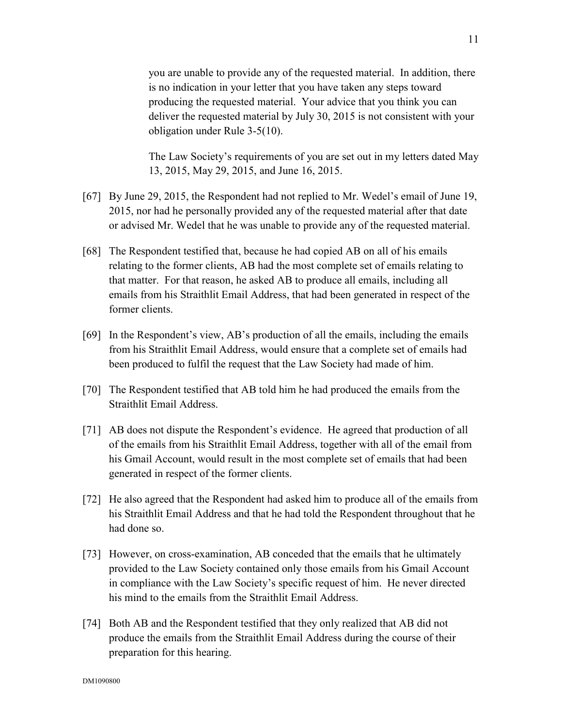you are unable to provide any of the requested material. In addition, there is no indication in your letter that you have taken any steps toward producing the requested material. Your advice that you think you can deliver the requested material by July 30, 2015 is not consistent with your obligation under Rule 3-5(10).

The Law Society's requirements of you are set out in my letters dated May 13, 2015, May 29, 2015, and June 16, 2015.

- [67] By June 29, 2015, the Respondent had not replied to Mr. Wedel's email of June 19, 2015, nor had he personally provided any of the requested material after that date or advised Mr. Wedel that he was unable to provide any of the requested material.
- [68] The Respondent testified that, because he had copied AB on all of his emails relating to the former clients, AB had the most complete set of emails relating to that matter. For that reason, he asked AB to produce all emails, including all emails from his Straithlit Email Address, that had been generated in respect of the former clients.
- [69] In the Respondent's view, AB's production of all the emails, including the emails from his Straithlit Email Address, would ensure that a complete set of emails had been produced to fulfil the request that the Law Society had made of him.
- [70] The Respondent testified that AB told him he had produced the emails from the Straithlit Email Address.
- [71] AB does not dispute the Respondent's evidence. He agreed that production of all of the emails from his Straithlit Email Address, together with all of the email from his Gmail Account, would result in the most complete set of emails that had been generated in respect of the former clients.
- [72] He also agreed that the Respondent had asked him to produce all of the emails from his Straithlit Email Address and that he had told the Respondent throughout that he had done so.
- [73] However, on cross-examination, AB conceded that the emails that he ultimately provided to the Law Society contained only those emails from his Gmail Account in compliance with the Law Society's specific request of him. He never directed his mind to the emails from the Straithlit Email Address.
- [74] Both AB and the Respondent testified that they only realized that AB did not produce the emails from the Straithlit Email Address during the course of their preparation for this hearing.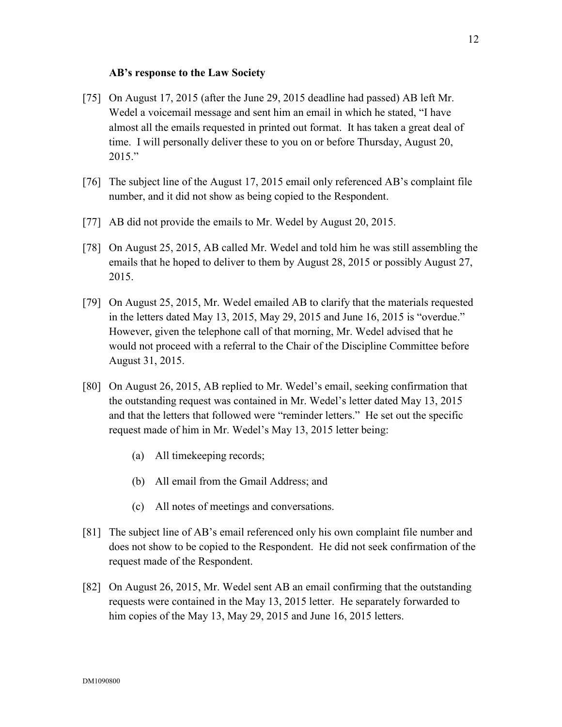#### **AB's response to the Law Society**

- [75] On August 17, 2015 (after the June 29, 2015 deadline had passed) AB left Mr. Wedel a voicemail message and sent him an email in which he stated, "I have almost all the emails requested in printed out format. It has taken a great deal of time. I will personally deliver these to you on or before Thursday, August 20, 2015."
- [76] The subject line of the August 17, 2015 email only referenced AB's complaint file number, and it did not show as being copied to the Respondent.
- [77] AB did not provide the emails to Mr. Wedel by August 20, 2015.
- [78] On August 25, 2015, AB called Mr. Wedel and told him he was still assembling the emails that he hoped to deliver to them by August 28, 2015 or possibly August 27, 2015.
- [79] On August 25, 2015, Mr. Wedel emailed AB to clarify that the materials requested in the letters dated May 13, 2015, May 29, 2015 and June 16, 2015 is "overdue." However, given the telephone call of that morning, Mr. Wedel advised that he would not proceed with a referral to the Chair of the Discipline Committee before August 31, 2015.
- [80] On August 26, 2015, AB replied to Mr. Wedel's email, seeking confirmation that the outstanding request was contained in Mr. Wedel's letter dated May 13, 2015 and that the letters that followed were "reminder letters." He set out the specific request made of him in Mr. Wedel's May 13, 2015 letter being:
	- (a) All timekeeping records;
	- (b) All email from the Gmail Address; and
	- (c) All notes of meetings and conversations.
- [81] The subject line of AB's email referenced only his own complaint file number and does not show to be copied to the Respondent. He did not seek confirmation of the request made of the Respondent.
- [82] On August 26, 2015, Mr. Wedel sent AB an email confirming that the outstanding requests were contained in the May 13, 2015 letter. He separately forwarded to him copies of the May 13, May 29, 2015 and June 16, 2015 letters.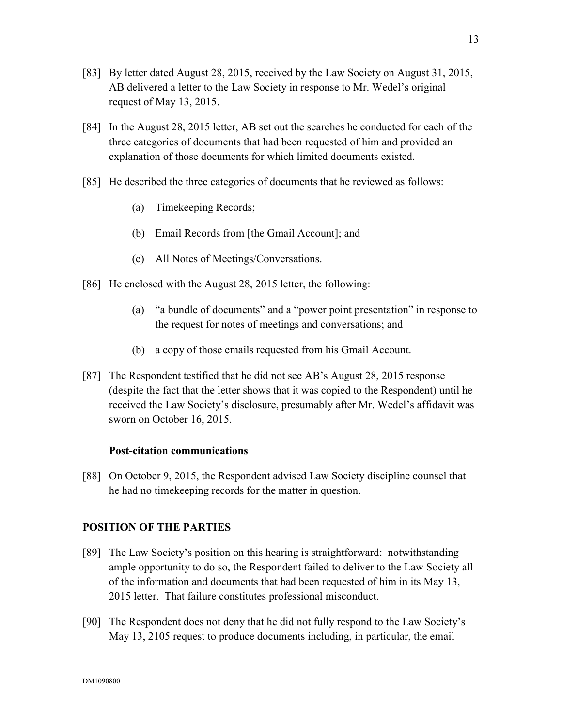- [83] By letter dated August 28, 2015, received by the Law Society on August 31, 2015, AB delivered a letter to the Law Society in response to Mr. Wedel's original request of May 13, 2015.
- [84] In the August 28, 2015 letter, AB set out the searches he conducted for each of the three categories of documents that had been requested of him and provided an explanation of those documents for which limited documents existed.
- [85] He described the three categories of documents that he reviewed as follows:
	- (a) Timekeeping Records;
	- (b) Email Records from [the Gmail Account]; and
	- (c) All Notes of Meetings/Conversations.
- [86] He enclosed with the August 28, 2015 letter, the following:
	- (a) "a bundle of documents" and a "power point presentation" in response to the request for notes of meetings and conversations; and
	- (b) a copy of those emails requested from his Gmail Account.
- [87] The Respondent testified that he did not see AB's August 28, 2015 response (despite the fact that the letter shows that it was copied to the Respondent) until he received the Law Society's disclosure, presumably after Mr. Wedel's affidavit was sworn on October 16, 2015.

#### **Post-citation communications**

[88] On October 9, 2015, the Respondent advised Law Society discipline counsel that he had no timekeeping records for the matter in question.

#### **POSITION OF THE PARTIES**

- [89] The Law Society's position on this hearing is straightforward: notwithstanding ample opportunity to do so, the Respondent failed to deliver to the Law Society all of the information and documents that had been requested of him in its May 13, 2015 letter. That failure constitutes professional misconduct.
- [90] The Respondent does not deny that he did not fully respond to the Law Society's May 13, 2105 request to produce documents including, in particular, the email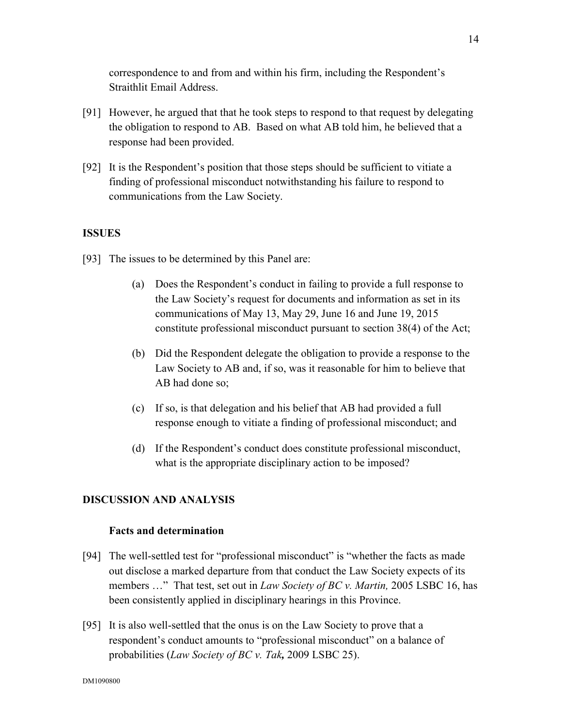correspondence to and from and within his firm, including the Respondent's Straithlit Email Address.

- [91] However, he argued that that he took steps to respond to that request by delegating the obligation to respond to AB. Based on what AB told him, he believed that a response had been provided.
- [92] It is the Respondent's position that those steps should be sufficient to vitiate a finding of professional misconduct notwithstanding his failure to respond to communications from the Law Society.

### **ISSUES**

- [93] The issues to be determined by this Panel are:
	- (a) Does the Respondent's conduct in failing to provide a full response to the Law Society's request for documents and information as set in its communications of May 13, May 29, June 16 and June 19, 2015 constitute professional misconduct pursuant to section 38(4) of the Act;
	- (b) Did the Respondent delegate the obligation to provide a response to the Law Society to AB and, if so, was it reasonable for him to believe that AB had done so;
	- (c) If so, is that delegation and his belief that AB had provided a full response enough to vitiate a finding of professional misconduct; and
	- (d) If the Respondent's conduct does constitute professional misconduct, what is the appropriate disciplinary action to be imposed?

### **DISCUSSION AND ANALYSIS**

### **Facts and determination**

- [94] The well-settled test for "professional misconduct" is "whether the facts as made out disclose a marked departure from that conduct the Law Society expects of its members …" That test, set out in *Law Society of BC v. Martin,* 2005 LSBC 16, has been consistently applied in disciplinary hearings in this Province.
- [95] It is also well-settled that the onus is on the Law Society to prove that a respondent's conduct amounts to "professional misconduct" on a balance of probabilities (*Law Society of BC v. Tak,* 2009 LSBC 25).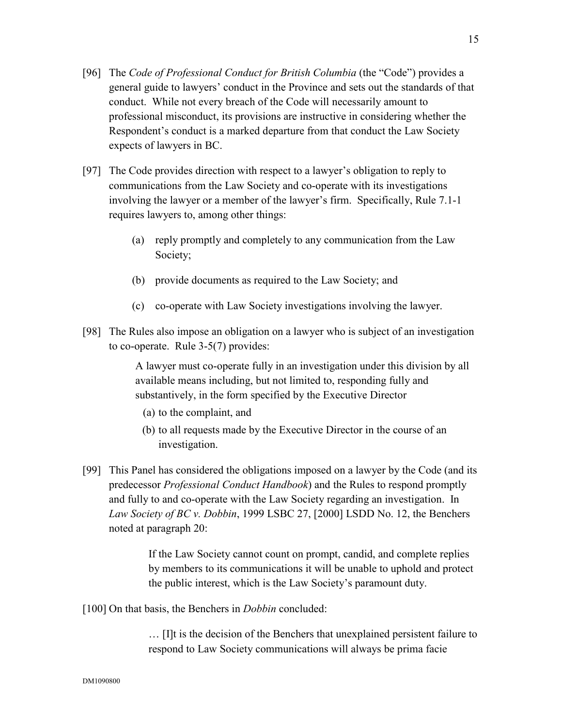- [96] The *Code of Professional Conduct for British Columbia* (the "Code") provides a general guide to lawyers' conduct in the Province and sets out the standards of that conduct. While not every breach of the Code will necessarily amount to professional misconduct, its provisions are instructive in considering whether the Respondent's conduct is a marked departure from that conduct the Law Society expects of lawyers in BC.
- [97] The Code provides direction with respect to a lawyer's obligation to reply to communications from the Law Society and co-operate with its investigations involving the lawyer or a member of the lawyer's firm. Specifically, Rule 7.1-1 requires lawyers to, among other things:
	- (a) reply promptly and completely to any communication from the Law Society;
	- (b) provide documents as required to the Law Society; and
	- (c) co-operate with Law Society investigations involving the lawyer.
- [98] The Rules also impose an obligation on a lawyer who is subject of an investigation to co-operate. Rule 3-5(7) provides:

 A lawyer must co-operate fully in an investigation under this division by all available means including, but not limited to, responding fully and substantively, in the form specified by the Executive Director

- (a) to the complaint, and
- (b) to all requests made by the Executive Director in the course of an investigation.
- [99] This Panel has considered the obligations imposed on a lawyer by the Code (and its predecessor *Professional Conduct Handbook*) and the Rules to respond promptly and fully to and co-operate with the Law Society regarding an investigation. In *Law Society of BC v. Dobbin*, 1999 LSBC 27, [2000] LSDD No. 12, the Benchers noted at paragraph 20:

If the Law Society cannot count on prompt, candid, and complete replies by members to its communications it will be unable to uphold and protect the public interest, which is the Law Society's paramount duty.

[100] On that basis, the Benchers in *Dobbin* concluded:

… [I]t is the decision of the Benchers that unexplained persistent failure to respond to Law Society communications will always be prima facie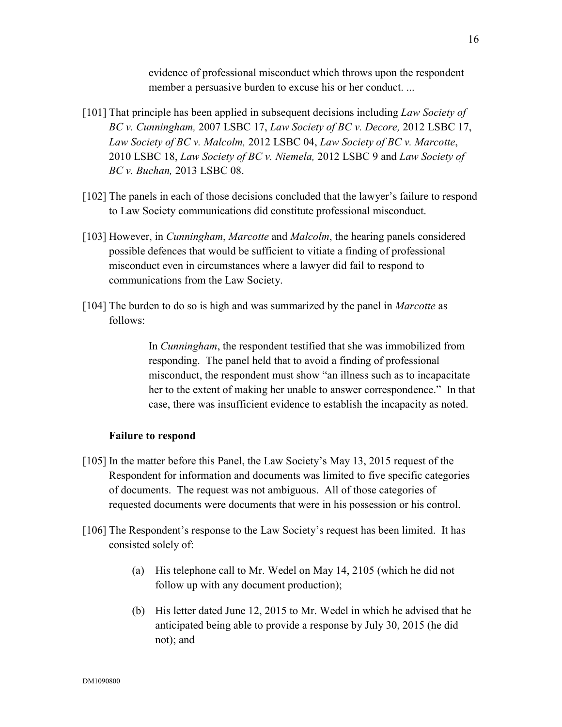evidence of professional misconduct which throws upon the respondent member a persuasive burden to excuse his or her conduct. ...

- [101] That principle has been applied in subsequent decisions including *Law Society of BC v. Cunningham,* 2007 LSBC 17, *Law Society of BC v. Decore,* 2012 LSBC 17, *Law Society of BC v. Malcolm,* 2012 LSBC 04, *Law Society of BC v. Marcotte*, 2010 LSBC 18, *Law Society of BC v. Niemela,* 2012 LSBC 9 and *Law Society of BC v. Buchan,* 2013 LSBC 08.
- [102] The panels in each of those decisions concluded that the lawyer's failure to respond to Law Society communications did constitute professional misconduct.
- [103] However, in *Cunningham*, *Marcotte* and *Malcolm*, the hearing panels considered possible defences that would be sufficient to vitiate a finding of professional misconduct even in circumstances where a lawyer did fail to respond to communications from the Law Society.
- [104] The burden to do so is high and was summarized by the panel in *Marcotte* as follows:

In *Cunningham*, the respondent testified that she was immobilized from responding. The panel held that to avoid a finding of professional misconduct, the respondent must show "an illness such as to incapacitate her to the extent of making her unable to answer correspondence." In that case, there was insufficient evidence to establish the incapacity as noted.

#### **Failure to respond**

- [105] In the matter before this Panel, the Law Society's May 13, 2015 request of the Respondent for information and documents was limited to five specific categories of documents. The request was not ambiguous. All of those categories of requested documents were documents that were in his possession or his control.
- [106] The Respondent's response to the Law Society's request has been limited. It has consisted solely of:
	- (a) His telephone call to Mr. Wedel on May 14, 2105 (which he did not follow up with any document production);
	- (b) His letter dated June 12, 2015 to Mr. Wedel in which he advised that he anticipated being able to provide a response by July 30, 2015 (he did not); and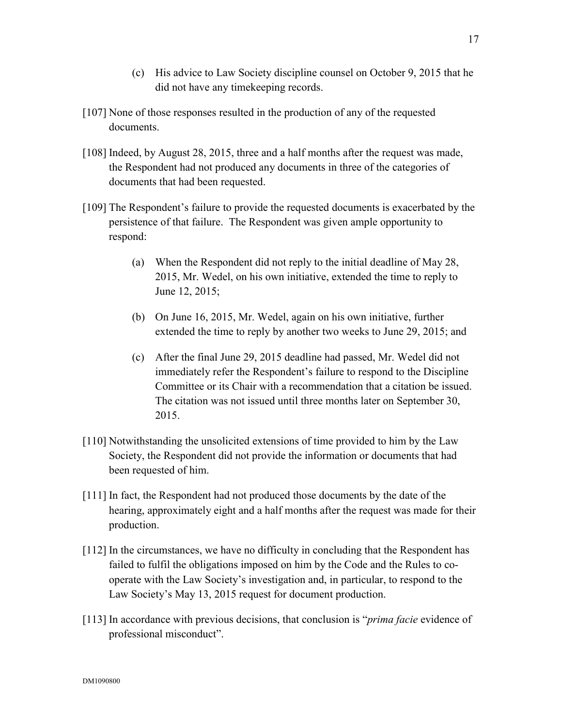- (c) His advice to Law Society discipline counsel on October 9, 2015 that he did not have any timekeeping records.
- [107] None of those responses resulted in the production of any of the requested documents.
- [108] Indeed, by August 28, 2015, three and a half months after the request was made, the Respondent had not produced any documents in three of the categories of documents that had been requested.
- [109] The Respondent's failure to provide the requested documents is exacerbated by the persistence of that failure. The Respondent was given ample opportunity to respond:
	- (a) When the Respondent did not reply to the initial deadline of May 28, 2015, Mr. Wedel, on his own initiative, extended the time to reply to June 12, 2015;
	- (b) On June 16, 2015, Mr. Wedel, again on his own initiative, further extended the time to reply by another two weeks to June 29, 2015; and
	- (c) After the final June 29, 2015 deadline had passed, Mr. Wedel did not immediately refer the Respondent's failure to respond to the Discipline Committee or its Chair with a recommendation that a citation be issued. The citation was not issued until three months later on September 30, 2015.
- [110] Notwithstanding the unsolicited extensions of time provided to him by the Law Society, the Respondent did not provide the information or documents that had been requested of him.
- [111] In fact, the Respondent had not produced those documents by the date of the hearing, approximately eight and a half months after the request was made for their production.
- [112] In the circumstances, we have no difficulty in concluding that the Respondent has failed to fulfil the obligations imposed on him by the Code and the Rules to cooperate with the Law Society's investigation and, in particular, to respond to the Law Society's May 13, 2015 request for document production.
- [113] In accordance with previous decisions, that conclusion is "*prima facie* evidence of professional misconduct".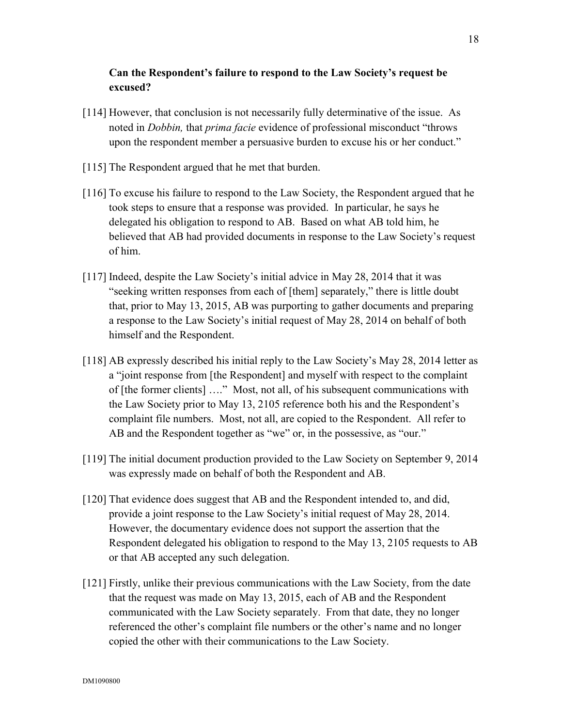# **Can the Respondent's failure to respond to the Law Society's request be excused?**

- [114] However, that conclusion is not necessarily fully determinative of the issue. As noted in *Dobbin,* that *prima facie* evidence of professional misconduct "throws upon the respondent member a persuasive burden to excuse his or her conduct."
- [115] The Respondent argued that he met that burden.
- [116] To excuse his failure to respond to the Law Society, the Respondent argued that he took steps to ensure that a response was provided. In particular, he says he delegated his obligation to respond to AB. Based on what AB told him, he believed that AB had provided documents in response to the Law Society's request of him.
- [117] Indeed, despite the Law Society's initial advice in May 28, 2014 that it was "seeking written responses from each of [them] separately," there is little doubt that, prior to May 13, 2015, AB was purporting to gather documents and preparing a response to the Law Society's initial request of May 28, 2014 on behalf of both himself and the Respondent.
- [118] AB expressly described his initial reply to the Law Society's May 28, 2014 letter as a "joint response from [the Respondent] and myself with respect to the complaint of [the former clients] …." Most, not all, of his subsequent communications with the Law Society prior to May 13, 2105 reference both his and the Respondent's complaint file numbers. Most, not all, are copied to the Respondent. All refer to AB and the Respondent together as "we" or, in the possessive, as "our."
- [119] The initial document production provided to the Law Society on September 9, 2014 was expressly made on behalf of both the Respondent and AB.
- [120] That evidence does suggest that AB and the Respondent intended to, and did, provide a joint response to the Law Society's initial request of May 28, 2014. However, the documentary evidence does not support the assertion that the Respondent delegated his obligation to respond to the May 13, 2105 requests to AB or that AB accepted any such delegation.
- [121] Firstly, unlike their previous communications with the Law Society, from the date that the request was made on May 13, 2015, each of AB and the Respondent communicated with the Law Society separately. From that date, they no longer referenced the other's complaint file numbers or the other's name and no longer copied the other with their communications to the Law Society.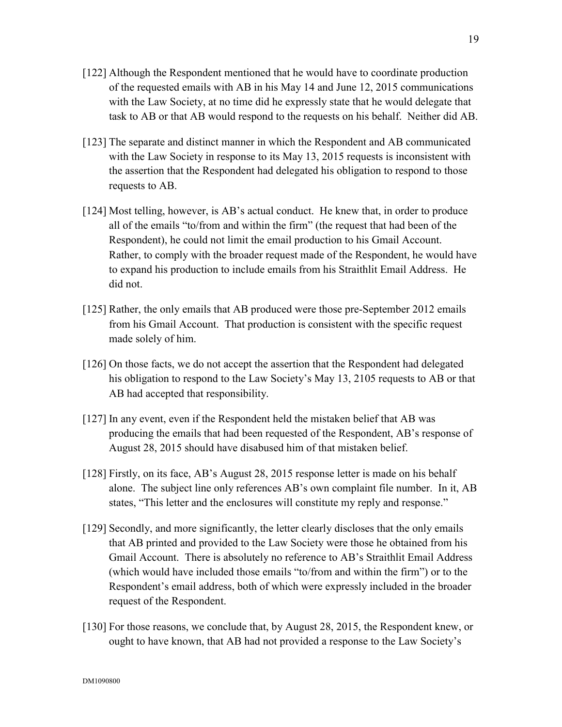- [122] Although the Respondent mentioned that he would have to coordinate production of the requested emails with AB in his May 14 and June 12, 2015 communications with the Law Society, at no time did he expressly state that he would delegate that task to AB or that AB would respond to the requests on his behalf. Neither did AB.
- [123] The separate and distinct manner in which the Respondent and AB communicated with the Law Society in response to its May 13, 2015 requests is inconsistent with the assertion that the Respondent had delegated his obligation to respond to those requests to AB.
- [124] Most telling, however, is AB's actual conduct. He knew that, in order to produce all of the emails "to/from and within the firm" (the request that had been of the Respondent), he could not limit the email production to his Gmail Account. Rather, to comply with the broader request made of the Respondent, he would have to expand his production to include emails from his Straithlit Email Address. He did not.
- [125] Rather, the only emails that AB produced were those pre-September 2012 emails from his Gmail Account. That production is consistent with the specific request made solely of him.
- [126] On those facts, we do not accept the assertion that the Respondent had delegated his obligation to respond to the Law Society's May 13, 2105 requests to AB or that AB had accepted that responsibility.
- [127] In any event, even if the Respondent held the mistaken belief that AB was producing the emails that had been requested of the Respondent, AB's response of August 28, 2015 should have disabused him of that mistaken belief.
- [128] Firstly, on its face, AB's August 28, 2015 response letter is made on his behalf alone. The subject line only references AB's own complaint file number. In it, AB states, "This letter and the enclosures will constitute my reply and response."
- [129] Secondly, and more significantly, the letter clearly discloses that the only emails that AB printed and provided to the Law Society were those he obtained from his Gmail Account. There is absolutely no reference to AB's Straithlit Email Address (which would have included those emails "to/from and within the firm") or to the Respondent's email address, both of which were expressly included in the broader request of the Respondent.
- [130] For those reasons, we conclude that, by August 28, 2015, the Respondent knew, or ought to have known, that AB had not provided a response to the Law Society's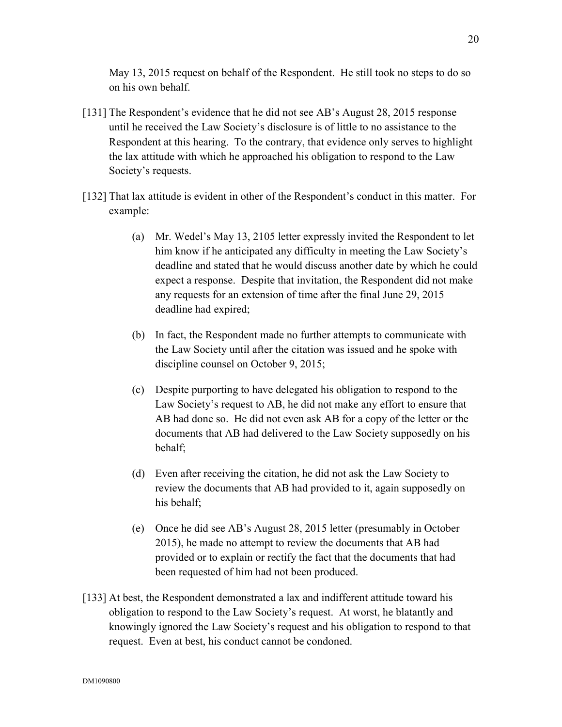May 13, 2015 request on behalf of the Respondent. He still took no steps to do so on his own behalf.

- [131] The Respondent's evidence that he did not see AB's August 28, 2015 response until he received the Law Society's disclosure is of little to no assistance to the Respondent at this hearing. To the contrary, that evidence only serves to highlight the lax attitude with which he approached his obligation to respond to the Law Society's requests.
- [132] That lax attitude is evident in other of the Respondent's conduct in this matter. For example:
	- (a) Mr. Wedel's May 13, 2105 letter expressly invited the Respondent to let him know if he anticipated any difficulty in meeting the Law Society's deadline and stated that he would discuss another date by which he could expect a response. Despite that invitation, the Respondent did not make any requests for an extension of time after the final June 29, 2015 deadline had expired;
	- (b) In fact, the Respondent made no further attempts to communicate with the Law Society until after the citation was issued and he spoke with discipline counsel on October 9, 2015;
	- (c) Despite purporting to have delegated his obligation to respond to the Law Society's request to AB, he did not make any effort to ensure that AB had done so. He did not even ask AB for a copy of the letter or the documents that AB had delivered to the Law Society supposedly on his behalf;
	- (d) Even after receiving the citation, he did not ask the Law Society to review the documents that AB had provided to it, again supposedly on his behalf;
	- (e) Once he did see AB's August 28, 2015 letter (presumably in October 2015), he made no attempt to review the documents that AB had provided or to explain or rectify the fact that the documents that had been requested of him had not been produced.
- [133] At best, the Respondent demonstrated a lax and indifferent attitude toward his obligation to respond to the Law Society's request. At worst, he blatantly and knowingly ignored the Law Society's request and his obligation to respond to that request. Even at best, his conduct cannot be condoned.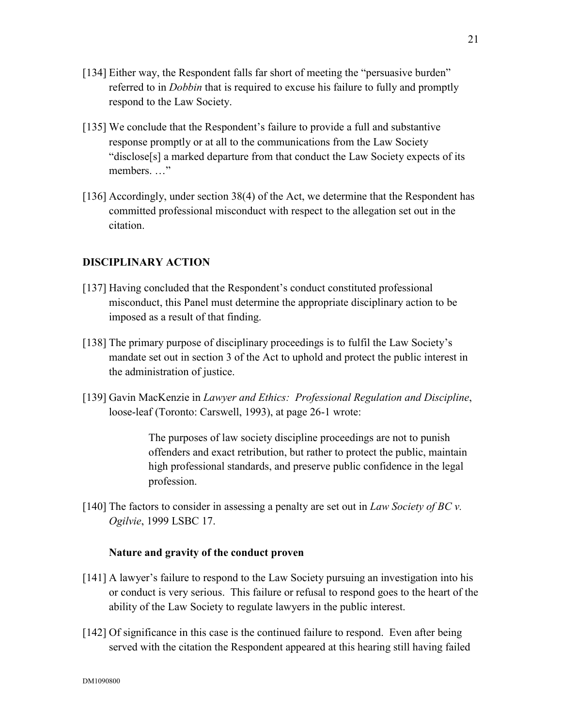- [134] Either way, the Respondent falls far short of meeting the "persuasive burden" referred to in *Dobbin* that is required to excuse his failure to fully and promptly respond to the Law Society.
- [135] We conclude that the Respondent's failure to provide a full and substantive response promptly or at all to the communications from the Law Society "disclose[s] a marked departure from that conduct the Law Society expects of its members. …"
- [136] Accordingly, under section 38(4) of the Act, we determine that the Respondent has committed professional misconduct with respect to the allegation set out in the citation.

### **DISCIPLINARY ACTION**

- [137] Having concluded that the Respondent's conduct constituted professional misconduct, this Panel must determine the appropriate disciplinary action to be imposed as a result of that finding.
- [138] The primary purpose of disciplinary proceedings is to fulfil the Law Society's mandate set out in section 3 of the Act to uphold and protect the public interest in the administration of justice.
- [139] Gavin MacKenzie in *Lawyer and Ethics: Professional Regulation and Discipline*, loose-leaf (Toronto: Carswell, 1993), at page 26-1 wrote:

The purposes of law society discipline proceedings are not to punish offenders and exact retribution, but rather to protect the public, maintain high professional standards, and preserve public confidence in the legal profession.

[140] The factors to consider in assessing a penalty are set out in *Law Society of BC v. Ogilvie*, 1999 LSBC 17.

### **Nature and gravity of the conduct proven**

- [141] A lawyer's failure to respond to the Law Society pursuing an investigation into his or conduct is very serious. This failure or refusal to respond goes to the heart of the ability of the Law Society to regulate lawyers in the public interest.
- [142] Of significance in this case is the continued failure to respond. Even after being served with the citation the Respondent appeared at this hearing still having failed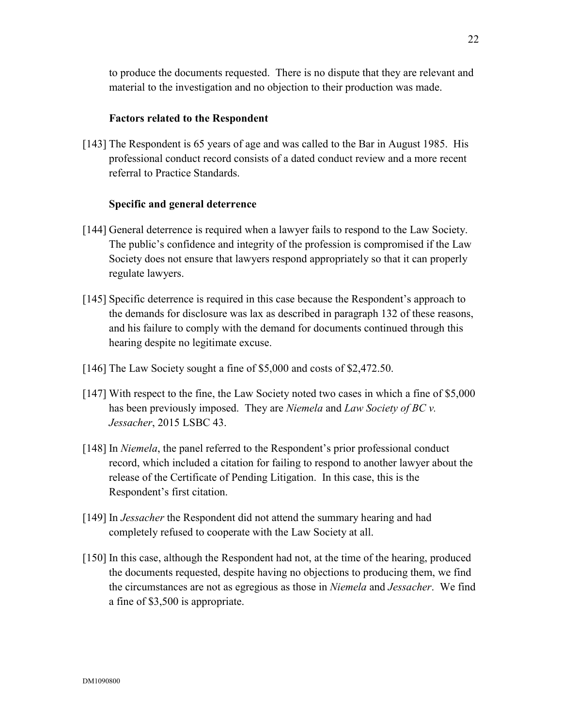to produce the documents requested. There is no dispute that they are relevant and material to the investigation and no objection to their production was made.

### **Factors related to the Respondent**

[143] The Respondent is 65 years of age and was called to the Bar in August 1985. His professional conduct record consists of a dated conduct review and a more recent referral to Practice Standards.

### **Specific and general deterrence**

- [144] General deterrence is required when a lawyer fails to respond to the Law Society. The public's confidence and integrity of the profession is compromised if the Law Society does not ensure that lawyers respond appropriately so that it can properly regulate lawyers.
- [145] Specific deterrence is required in this case because the Respondent's approach to the demands for disclosure was lax as described in paragraph 132 of these reasons, and his failure to comply with the demand for documents continued through this hearing despite no legitimate excuse.
- [146] The Law Society sought a fine of \$5,000 and costs of \$2,472.50.
- [147] With respect to the fine, the Law Society noted two cases in which a fine of \$5,000 has been previously imposed. They are *Niemela* and *Law Society of BC v. Jessacher*, 2015 LSBC 43.
- [148] In *Niemela*, the panel referred to the Respondent's prior professional conduct record, which included a citation for failing to respond to another lawyer about the release of the Certificate of Pending Litigation. In this case, this is the Respondent's first citation.
- [149] In *Jessacher* the Respondent did not attend the summary hearing and had completely refused to cooperate with the Law Society at all.
- [150] In this case, although the Respondent had not, at the time of the hearing, produced the documents requested, despite having no objections to producing them, we find the circumstances are not as egregious as those in *Niemela* and *Jessacher*. We find a fine of \$3,500 is appropriate.